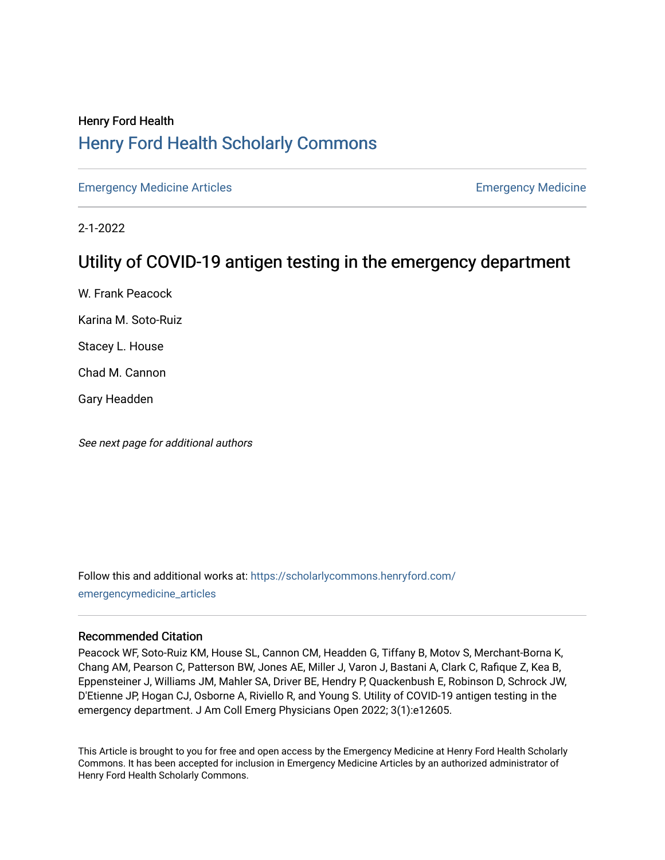# Henry Ford Health [Henry Ford Health Scholarly Commons](https://scholarlycommons.henryford.com/)

[Emergency Medicine Articles](https://scholarlycommons.henryford.com/emergencymedicine_articles) **Emergency Medicine** 

2-1-2022

# Utility of COVID-19 antigen testing in the emergency department

W. Frank Peacock

Karina M. Soto-Ruiz

Stacey L. House

Chad M. Cannon

Gary Headden

See next page for additional authors

Follow this and additional works at: [https://scholarlycommons.henryford.com/](https://scholarlycommons.henryford.com/emergencymedicine_articles?utm_source=scholarlycommons.henryford.com%2Femergencymedicine_articles%2F259&utm_medium=PDF&utm_campaign=PDFCoverPages) [emergencymedicine\\_articles](https://scholarlycommons.henryford.com/emergencymedicine_articles?utm_source=scholarlycommons.henryford.com%2Femergencymedicine_articles%2F259&utm_medium=PDF&utm_campaign=PDFCoverPages) 

# Recommended Citation

Peacock WF, Soto-Ruiz KM, House SL, Cannon CM, Headden G, Tiffany B, Motov S, Merchant-Borna K, Chang AM, Pearson C, Patterson BW, Jones AE, Miller J, Varon J, Bastani A, Clark C, Rafique Z, Kea B, Eppensteiner J, Williams JM, Mahler SA, Driver BE, Hendry P, Quackenbush E, Robinson D, Schrock JW, D'Etienne JP, Hogan CJ, Osborne A, Riviello R, and Young S. Utility of COVID-19 antigen testing in the emergency department. J Am Coll Emerg Physicians Open 2022; 3(1):e12605.

This Article is brought to you for free and open access by the Emergency Medicine at Henry Ford Health Scholarly Commons. It has been accepted for inclusion in Emergency Medicine Articles by an authorized administrator of Henry Ford Health Scholarly Commons.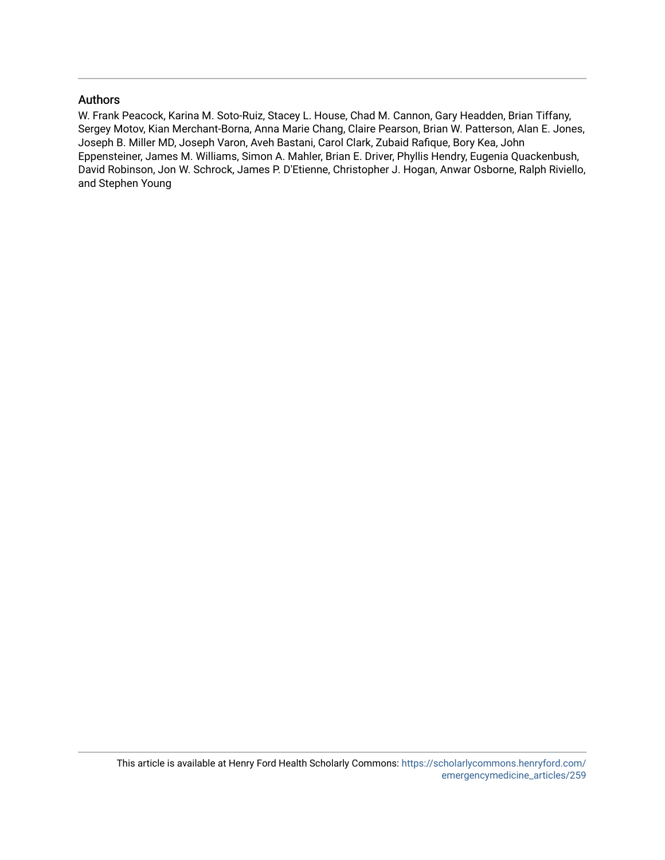# Authors

W. Frank Peacock, Karina M. Soto-Ruiz, Stacey L. House, Chad M. Cannon, Gary Headden, Brian Tiffany, Sergey Motov, Kian Merchant-Borna, Anna Marie Chang, Claire Pearson, Brian W. Patterson, Alan E. Jones, Joseph B. Miller MD, Joseph Varon, Aveh Bastani, Carol Clark, Zubaid Rafique, Bory Kea, John Eppensteiner, James M. Williams, Simon A. Mahler, Brian E. Driver, Phyllis Hendry, Eugenia Quackenbush, David Robinson, Jon W. Schrock, James P. D'Etienne, Christopher J. Hogan, Anwar Osborne, Ralph Riviello, and Stephen Young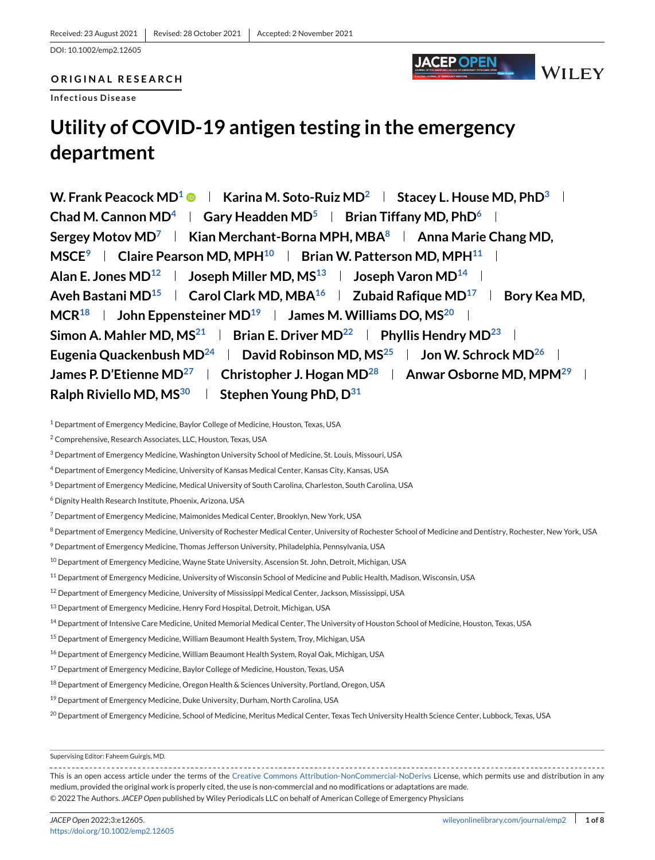# **ORIGINAL RESEARCH**

**Infectious Disease**

# **Utility of COVID-19 antigen testing in the emergency department**

**W. Frank Peacock MD<sup>1</sup>**  $\bullet$  **| Karina M. Soto-Ruiz MD<sup>2</sup> | Stacey L. House MD, PhD<sup>3</sup> | Chad M. Cannon MD<sup>4</sup>**  $\parallel$  **Gary Headden MD<sup>5</sup>**  $\parallel$  **Brian Tiffany MD, PhD<sup>6</sup>**  $\parallel$ **Sergey Motov MD<sup>7</sup> | Kian Merchant-Borna MPH, MBA<sup>8</sup> | Anna Marie Chang MD, MSCE<sup>9</sup> | Claire Pearson MD, MPH<sup>10</sup> | Brian W. Patterson MD, MPH<sup>11</sup> | Alan E. Jones MD12 Joseph Miller MD, MS13 Joseph Varon MD14** Aveh Bastani MD<sup>15</sup> | Carol Clark MD, MBA<sup>16</sup> | Zubaid Rafique MD<sup>17</sup> | Bory Kea MD, MCR<sup>18</sup> **John Eppensteiner MD<sup>19</sup> James M. Williams DO, MS<sup>20</sup> J Simon A. Mahler MD, MS**<sup>21</sup> **Brian E. Driver MD**<sup>22</sup> **Phyllis Hendry MD**<sup>23</sup> **Eugenia Quackenbush MD<sup>24</sup> | David Robinson MD, MS<sup>25</sup> | Jon W. Schrock MD<sup>26</sup> | James P. D'Etienne MD**<sup>27</sup> | Christopher J. Hogan MD<sup>28</sup> | Anwar Osborne MD, MPM<sup>29</sup> | **Ralph Riviello MD, M[S30](#page-3-0) Stephen Young PhD, [D31](#page-3-0)**

**JACEP OPEN** 

**WILEY** 

- <sup>5</sup> Department of Emergency Medicine, Medical University of South Carolina, Charleston, South Carolina, USA
- <sup>6</sup> Dignity Health Research Institute, Phoenix, Arizona, USA
- <sup>7</sup> Department of Emergency Medicine, Maimonides Medical Center, Brooklyn, New York, USA
- <sup>8</sup> Department of Emergency Medicine, University of Rochester Medical Center, University of Rochester School of Medicine and Dentistry, Rochester, New York, USA
- <sup>9</sup> Department of Emergency Medicine, Thomas Jefferson University, Philadelphia, Pennsylvania, USA
- <sup>10</sup> Department of Emergency Medicine, Wayne State University, Ascension St. John, Detroit, Michigan, USA
- <sup>11</sup> Department of Emergency Medicine, University of Wisconsin School of Medicine and Public Health, Madison, Wisconsin, USA
- <sup>12</sup> Department of Emergency Medicine, University of Mississippi Medical Center, Jackson, Mississippi, USA
- <sup>13</sup> Department of Emergency Medicine, Henry Ford Hospital, Detroit, Michigan, USA
- <sup>14</sup> Department of Intensive Care Medicine, United Memorial Medical Center, The University of Houston School of Medicine, Houston, Texas, USA
- <sup>15</sup> Department of Emergency Medicine, William Beaumont Health System, Troy, Michigan, USA
- <sup>16</sup> Department of Emergency Medicine, William Beaumont Health System, Royal Oak, Michigan, USA
- <sup>17</sup> Department of Emergency Medicine, Baylor College of Medicine, Houston, Texas, USA
- <sup>18</sup> Department of Emergency Medicine, Oregon Health & Sciences University, Portland, Oregon, USA
- <sup>19</sup> Department of Emergency Medicine, Duke University, Durham, North Carolina, USA
- <sup>20</sup> Department of Emergency Medicine, School of Medicine, Meritus Medical Center, Texas Tech University Health Science Center, Lubbock, Texas, USA

This is an open access article under the terms of the [Creative Commons Attribution-NonCommercial-NoDerivs](http://creativecommons.org/licenses/by-nc-nd/4.0/) License, which permits use and distribution in any medium, provided the original work is properly cited, the use is non-commercial and no modifications or adaptations are made. © 2022 The Authors. *JACEP Open* published by Wiley Periodicals LLC on behalf of American College of Emergency Physicians

<sup>1</sup> Department of Emergency Medicine, Baylor College of Medicine, Houston, Texas, USA

<sup>2</sup> Comprehensive, Research Associates, LLC, Houston, Texas, USA

<sup>3</sup> Department of Emergency Medicine, Washington University School of Medicine, St. Louis, Missouri, USA

<sup>4</sup> Department of Emergency Medicine, University of Kansas Medical Center, Kansas City, Kansas, USA

Supervising Editor: Faheem Guirgis, MD.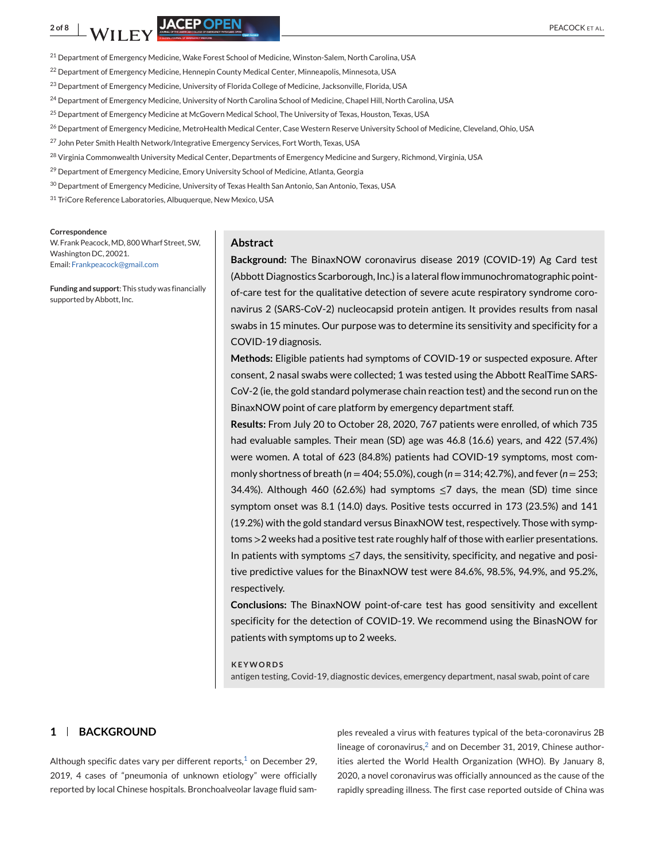<span id="page-3-0"></span>2 of 8 **NATURE AND STRUCK ET AL.** PEACOCK ET AL.

<sup>21</sup> Department of Emergency Medicine, Wake Forest School of Medicine, Winston-Salem, North Carolina, USA

- <sup>22</sup> Department of Emergency Medicine, Hennepin County Medical Center, Minneapolis, Minnesota, USA
- <sup>23</sup> Department of Emergency Medicine, University of Florida College of Medicine, Jacksonville, Florida, USA
- <sup>24</sup> Department of Emergency Medicine, University of North Carolina School of Medicine, Chapel Hill, North Carolina, USA
- <sup>25</sup> Department of Emergency Medicine at McGovern Medical School, The University of Texas, Houston, Texas, USA
- <sup>26</sup> Department of Emergency Medicine, MetroHealth Medical Center, Case Western Reserve University School of Medicine, Cleveland, Ohio, USA
- <sup>27</sup> John Peter Smith Health Network/Integrative Emergency Services, Fort Worth, Texas, USA
- <sup>28</sup> Virginia Commonwealth University Medical Center, Departments of Emergency Medicine and Surgery, Richmond, Virginia, USA
- <sup>29</sup> Department of Emergency Medicine, Emory University School of Medicine, Atlanta, Georgia
- <sup>30</sup> Department of Emergency Medicine, University of Texas Health San Antonio, San Antonio, Texas, USA
- <sup>31</sup> TriCore Reference Laboratories, Albuquerque, New Mexico, USA

#### **Correspondence**

W. Frank Peacock, MD, 800 Wharf Street, SW, Washington DC, 20021. Email: [Frankpeacock@gmail.com](mailto:Frankpeacock@gmail.com)

**Funding and support**: This study was financially supported by Abbott, Inc.

#### **Abstract**

**Background:** The BinaxNOW coronavirus disease 2019 (COVID-19) Ag Card test (Abbott Diagnostics Scarborough, Inc.) is a lateral flow immunochromatographic pointof-care test for the qualitative detection of severe acute respiratory syndrome coronavirus 2 (SARS-CoV-2) nucleocapsid protein antigen. It provides results from nasal swabs in 15 minutes. Our purpose was to determine its sensitivity and specificity for a COVID-19 diagnosis.

**Methods:** Eligible patients had symptoms of COVID-19 or suspected exposure. After consent, 2 nasal swabs were collected; 1 was tested using the Abbott RealTime SARS-CoV-2 (ie, the gold standard polymerase chain reaction test) and the second run on the BinaxNOW point of care platform by emergency department staff.

**Results:** From July 20 to October 28, 2020, 767 patients were enrolled, of which 735 had evaluable samples. Their mean (SD) age was 46.8 (16.6) years, and 422 (57.4%) were women. A total of 623 (84.8%) patients had COVID-19 symptoms, most commonly shortness of breath (*n* = 404; 55.0%), cough (*n* = 314; 42.7%), and fever (*n* = 253; 34.4%). Although 460 (62.6%) had symptoms  $\leq$ 7 days, the mean (SD) time since symptom onset was 8.1 (14.0) days. Positive tests occurred in 173 (23.5%) and 141 (19.2%) with the gold standard versus BinaxNOW test, respectively. Those with symptoms >2 weeks had a positive test rate roughly half of those with earlier presentations. In patients with symptoms ≤7 days, the sensitivity, specificity, and negative and positive predictive values for the BinaxNOW test were 84.6%, 98.5%, 94.9%, and 95.2%, respectively.

**Conclusions:** The BinaxNOW point-of-care test has good sensitivity and excellent specificity for the detection of COVID-19. We recommend using the BinasNOW for patients with symptoms up to 2 weeks.

#### **KEYWORDS**

antigen testing, Covid-19, diagnostic devices, emergency department, nasal swab, point of care

### **1 BACKGROUND**

Although specific dates vary per different reports, $1$  on December 29, 2019, 4 cases of "pneumonia of unknown etiology" were officially reported by local Chinese hospitals. Bronchoalveolar lavage fluid sam-

ples revealed a virus with features typical of the beta-coronavirus 2B lineage of coronavirus, $2$  and on December 31, 2019, Chinese authorities alerted the World Health Organization (WHO). By January 8, 2020, a novel coronavirus was officially announced as the cause of the rapidly spreading illness. The first case reported outside of China was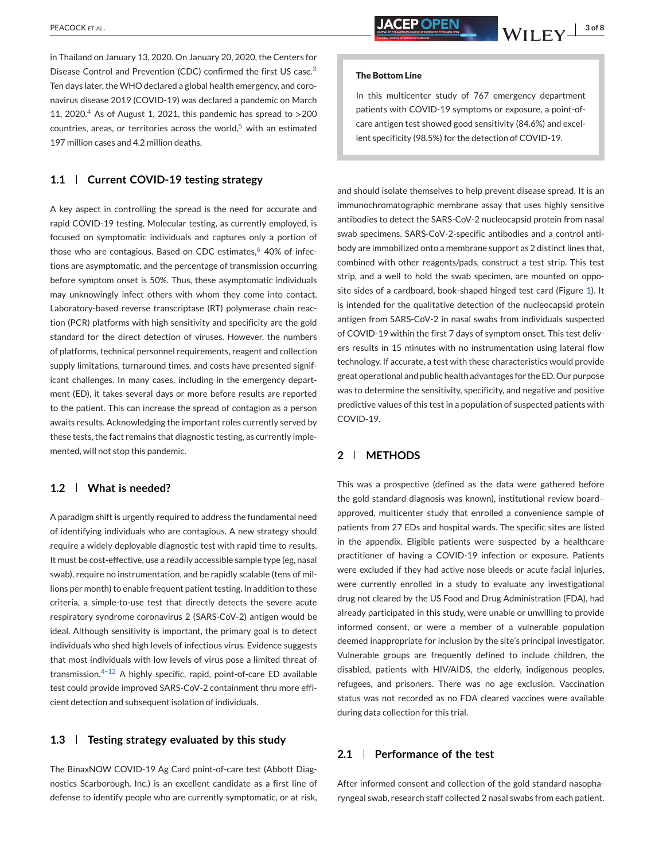in Thailand on January 13, 2020. On January 20, 2020, the Centers for Disease Control and Prevention (CDC) confirmed the first US case.<sup>[3](#page-8-0)</sup> Ten days later, the WHO declared a global health emergency, and coronavirus disease 2019 (COVID-19) was declared a pandemic on March 11, 2020.<sup>[4](#page-8-0)</sup> As of August 1, 2021, this pandemic has spread to  $>$  200 countries, areas, or territories across the world, $5$  with an estimated 197 million cases and 4.2 million deaths.

#### **1.1 Current COVID-19 testing strategy**

A key aspect in controlling the spread is the need for accurate and rapid COVID-19 testing. Molecular testing, as currently employed, is focused on symptomatic individuals and captures only a portion of those who are contagious. Based on CDC estimates,  $6\,40\%$  $6\,40\%$  of infections are asymptomatic, and the percentage of transmission occurring before symptom onset is 50%. Thus, these asymptomatic individuals may unknowingly infect others with whom they come into contact. Laboratory-based reverse transcriptase (RT) polymerase chain reaction (PCR) platforms with high sensitivity and specificity are the gold standard for the direct detection of viruses. However, the numbers of platforms, technical personnel requirements, reagent and collection supply limitations, turnaround times, and costs have presented significant challenges. In many cases, including in the emergency department (ED), it takes several days or more before results are reported to the patient. This can increase the spread of contagion as a person awaits results. Acknowledging the important roles currently served by these tests, the fact remains that diagnostic testing, as currently implemented, will not stop this pandemic.

# **1.2 What is needed?**

A paradigm shift is urgently required to address the fundamental need of identifying individuals who are contagious. A new strategy should require a widely deployable diagnostic test with rapid time to results. It must be cost-effective, use a readily accessible sample type (eg, nasal swab), require no instrumentation, and be rapidly scalable (tens of millions per month) to enable frequent patient testing. In addition to these criteria, a simple-to-use test that directly detects the severe acute respiratory syndrome coronavirus 2 (SARS-CoV-2) antigen would be ideal. Although sensitivity is important, the primary goal is to detect individuals who shed high levels of infectious virus. Evidence suggests that most individuals with low levels of virus pose a limited threat of transmission.[4–12](#page-8-0) A highly specific, rapid, point-of-care ED available test could provide improved SARS-CoV-2 containment thru more efficient detection and subsequent isolation of individuals.

#### **1.3 Testing strategy evaluated by this study**

The BinaxNOW COVID-19 Ag Card point-of-care test (Abbott Diagnostics Scarborough, Inc.) is an excellent candidate as a first line of defense to identify people who are currently symptomatic, or at risk,

#### **The Bottom Line**

In this multicenter study of 767 emergency department patients with COVID-19 symptoms or exposure, a point-ofcare antigen test showed good sensitivity (84.6%) and excellent specificity (98.5%) for the detection of COVID-19.

and should isolate themselves to help prevent disease spread. It is an immunochromatographic membrane assay that uses highly sensitive antibodies to detect the SARS-CoV-2 nucleocapsid protein from nasal swab specimens. SARS-CoV-2-specific antibodies and a control antibody are immobilized onto a membrane support as 2 distinct lines that, combined with other reagents/pads, construct a test strip. This test strip, and a well to hold the swab specimen, are mounted on opposite sides of a cardboard, book-shaped hinged test card (Figure [1\)](#page-5-0). It is intended for the qualitative detection of the nucleocapsid protein antigen from SARS-CoV-2 in nasal swabs from individuals suspected of COVID-19 within the first 7 days of symptom onset. This test delivers results in 15 minutes with no instrumentation using lateral flow technology. If accurate, a test with these characteristics would provide great operational and public health advantages for the ED. Our purpose was to determine the sensitivity, specificity, and negative and positive predictive values of this test in a population of suspected patients with COVID-19.

# **2 METHODS**

This was a prospective (defined as the data were gathered before the gold standard diagnosis was known), institutional review board– approved, multicenter study that enrolled a convenience sample of patients from 27 EDs and hospital wards. The specific sites are listed in the appendix. Eligible patients were suspected by a healthcare practitioner of having a COVID-19 infection or exposure. Patients were excluded if they had active nose bleeds or acute facial injuries, were currently enrolled in a study to evaluate any investigational drug not cleared by the US Food and Drug Administration (FDA), had already participated in this study, were unable or unwilling to provide informed consent, or were a member of a vulnerable population deemed inappropriate for inclusion by the site's principal investigator. Vulnerable groups are frequently defined to include children, the disabled, patients with HIV/AIDS, the elderly, indigenous peoples, refugees, and prisoners. There was no age exclusion. Vaccination status was not recorded as no FDA cleared vaccines were available during data collection for this trial.

# **2.1 Performance of the test**

After informed consent and collection of the gold standard nasopharyngeal swab, research staff collected 2 nasal swabs from each patient.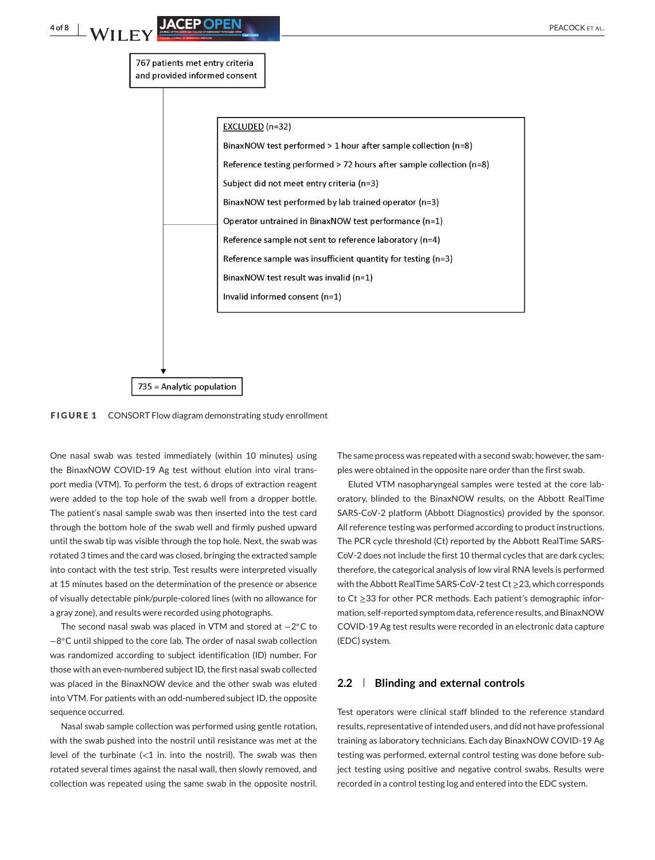<span id="page-5-0"></span>

**FIGURE 1** CONSORT Flow diagram demonstrating study enrollment

One nasal swab was tested immediately (within 10 minutes) using the BinaxNOW COVID-19 Ag test without elution into viral transport media (VTM). To perform the test, 6 drops of extraction reagent were added to the top hole of the swab well from a dropper bottle. The patient's nasal sample swab was then inserted into the test card through the bottom hole of the swab well and firmly pushed upward until the swab tip was visible through the top hole. Next, the swab was rotated 3 times and the card was closed, bringing the extracted sample into contact with the test strip. Test results were interpreted visually at 15 minutes based on the determination of the presence or absence of visually detectable pink/purple-colored lines (with no allowance for a gray zone), and results were recorded using photographs.

The second nasal swab was placed in VTM and stored at −2◦C to −8◦C until shipped to the core lab. The order of nasal swab collection was randomized according to subject identification (ID) number. For those with an even-numbered subject ID, the first nasal swab collected was placed in the BinaxNOW device and the other swab was eluted into VTM. For patients with an odd-numbered subject ID, the opposite sequence occurred.

Nasal swab sample collection was performed using gentle rotation, with the swab pushed into the nostril until resistance was met at the level of the turbinate  $\langle$  in. into the nostril). The swab was then rotated several times against the nasal wall, then slowly removed, and collection was repeated using the same swab in the opposite nostril. The same process was repeated with a second swab; however, the samples were obtained in the opposite nare order than the first swab.

Eluted VTM nasopharyngeal samples were tested at the core laboratory, blinded to the BinaxNOW results, on the Abbott RealTime SARS-CoV-2 platform (Abbott Diagnostics) provided by the sponsor. All reference testing was performed according to product instructions. The PCR cycle threshold (Ct) reported by the Abbott RealTime SARS-CoV-2 does not include the first 10 thermal cycles that are dark cycles; therefore, the categorical analysis of low viral RNA levels is performed with the Abbott RealTime SARS-CoV-2 test Ct≥23, which corresponds to Ct ≥33 for other PCR methods. Each patient's demographic information, self-reported symptom data, reference results, and BinaxNOW COVID-19 Ag test results were recorded in an electronic data capture (EDC) system.

## **2.2 Blinding and external controls**

Test operators were clinical staff blinded to the reference standard results, representative of intended users, and did not have professional training as laboratory technicians. Each day BinaxNOW COVID-19 Ag testing was performed, external control testing was done before subject testing using positive and negative control swabs. Results were recorded in a control testing log and entered into the EDC system.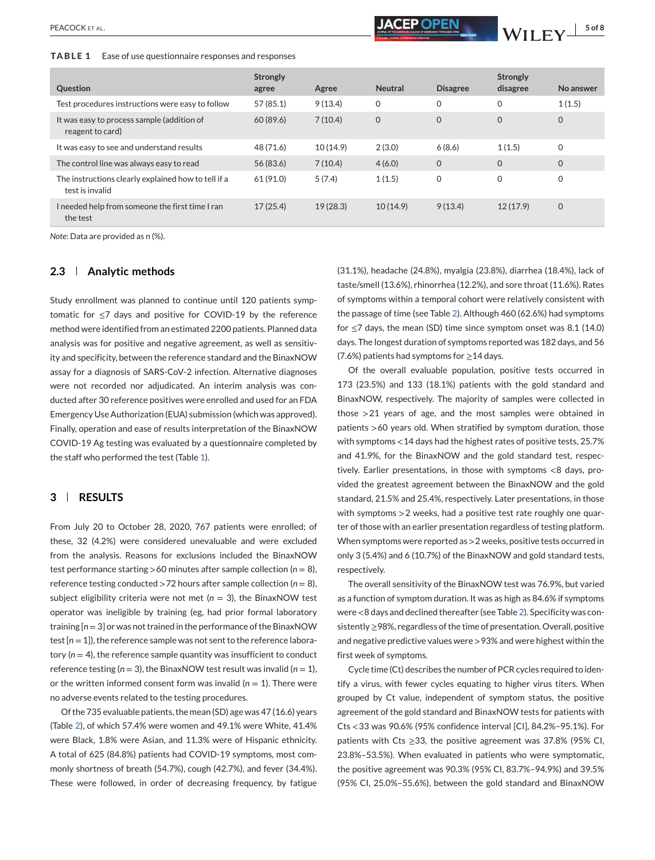<span id="page-6-0"></span>**TABLE 1** Ease of use questionnaire responses and responses

| Question                                                               | Strongly<br>agree | Agree    | <b>Neutral</b> | <b>Disagree</b> | Strongly<br>disagree | No answer |
|------------------------------------------------------------------------|-------------------|----------|----------------|-----------------|----------------------|-----------|
| Test procedures instructions were easy to follow                       | 57(85.1)          | 9(13.4)  | 0              | $\mathbf 0$     | $\Omega$             | 1(1.5)    |
| It was easy to process sample (addition of<br>reagent to card)         | 60 (89.6)         | 7(10.4)  | 0              | $\mathbf 0$     | $\mathbf 0$          | $\Omega$  |
| It was easy to see and understand results                              | 48 (71.6)         | 10(14.9) | 2(3.0)         | 6(8.6)          | 1(1.5)               | 0         |
| The control line was always easy to read                               | 56 (83.6)         | 7(10.4)  | 4(6.0)         | $\mathbf 0$     | $\Omega$             | $\Omega$  |
| The instructions clearly explained how to tell if a<br>test is invalid | 61 (91.0)         | 5(7.4)   | 1(1.5)         | $\mathbf 0$     | 0                    | 0         |
| I needed help from someone the first time I ran<br>the test            | 17(25.4)          | 19(28.3) | 10(14.9)       | 9(13.4)         | 12(17.9)             | 0         |

*Note*: Data are provided as n (%).

## **2.3 Analytic methods**

Study enrollment was planned to continue until 120 patients symptomatic for ≤7 days and positive for COVID-19 by the reference method were identified from an estimated 2200 patients. Planned data analysis was for positive and negative agreement, as well as sensitivity and specificity, between the reference standard and the BinaxNOW assay for a diagnosis of SARS-CoV-2 infection. Alternative diagnoses were not recorded nor adjudicated. An interim analysis was conducted after 30 reference positives were enrolled and used for an FDA Emergency Use Authorization (EUA) submission (which was approved). Finally, operation and ease of results interpretation of the BinaxNOW COVID-19 Ag testing was evaluated by a questionnaire completed by the staff who performed the test (Table 1).

#### **3 RESULTS**

From July 20 to October 28, 2020, 767 patients were enrolled; of these, 32 (4.2%) were considered unevaluable and were excluded from the analysis. Reasons for exclusions included the BinaxNOW test performance starting  $>60$  minutes after sample collection ( $n = 8$ ), reference testing conducted  $>72$  hours after sample collection ( $n = 8$ ), subject eligibility criteria were not met  $(n = 3)$ , the BinaxNOW test operator was ineligible by training (eg, had prior formal laboratory training [*n* = 3] or was not trained in the performance of the BinaxNOW test [*n* = 1]), the reference sample was not sent to the reference laboratory  $(n = 4)$ , the reference sample quantity was insufficient to conduct reference testing  $(n = 3)$ , the BinaxNOW test result was invalid  $(n = 1)$ , or the written informed consent form was invalid  $(n = 1)$ . There were no adverse events related to the testing procedures.

Of the 735 evaluable patients, the mean (SD) age was 47 (16.6) years (Table [2\)](#page-7-0), of which 57.4% were women and 49.1% were White, 41.4% were Black, 1.8% were Asian, and 11.3% were of Hispanic ethnicity. A total of 625 (84.8%) patients had COVID-19 symptoms, most commonly shortness of breath (54.7%), cough (42.7%), and fever (34.4%). These were followed, in order of decreasing frequency, by fatigue

(31.1%), headache (24.8%), myalgia (23.8%), diarrhea (18.4%), lack of taste/smell (13.6%), rhinorrhea (12.2%), and sore throat (11.6%). Rates of symptoms within a temporal cohort were relatively consistent with the passage of time (see Table [2\)](#page-7-0). Although 460 (62.6%) had symptoms for  $\leq$ 7 days, the mean (SD) time since symptom onset was 8.1 (14.0) days. The longest duration of symptoms reported was 182 days, and 56 (7.6%) patients had symptoms for ≥14 days.

Of the overall evaluable population, positive tests occurred in 173 (23.5%) and 133 (18.1%) patients with the gold standard and BinaxNOW, respectively. The majority of samples were collected in those >21 years of age, and the most samples were obtained in patients >60 years old. When stratified by symptom duration, those with symptoms <14 days had the highest rates of positive tests, 25.7% and 41.9%, for the BinaxNOW and the gold standard test, respectively. Earlier presentations, in those with symptoms <8 days, provided the greatest agreement between the BinaxNOW and the gold standard, 21.5% and 25.4%, respectively. Later presentations, in those with symptoms >2 weeks, had a positive test rate roughly one quarter of those with an earlier presentation regardless of testing platform. When symptoms were reported as >2 weeks, positive tests occurred in only 3 (5.4%) and 6 (10.7%) of the BinaxNOW and gold standard tests, respectively.

The overall sensitivity of the BinaxNOW test was 76.9%, but varied as a function of symptom duration. It was as high as 84.6% if symptoms were <8 days and declined thereafter (see Table [2\)](#page-7-0). Specificity was consistently≥98%, regardless of the time of presentation. Overall, positive and negative predictive values were >93% and were highest within the first week of symptoms.

Cycle time (Ct) describes the number of PCR cycles required to identify a virus, with fewer cycles equating to higher virus titers. When grouped by Ct value, independent of symptom status, the positive agreement of the gold standard and BinaxNOW tests for patients with Cts <33 was 90.6% (95% confidence interval [CI], 84.2%–95.1%). For patients with Cts ≥33, the positive agreement was 37.8% (95% CI, 23.8%–53.5%). When evaluated in patients who were symptomatic, the positive agreement was 90.3% (95% CI, 83.7%–94.9%) and 39.5% (95% CI, 25.0%–55.6%), between the gold standard and BinaxNOW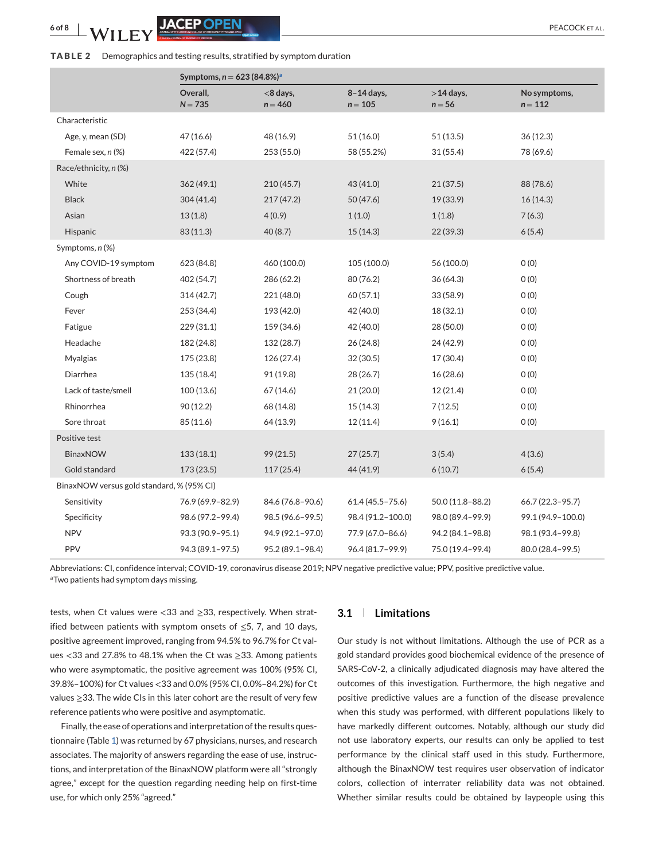#### <span id="page-7-0"></span>**TABLE 2** Demographics and testing results, stratified by symptom duration

|                                           | Symptoms, $n = 623 (84.8\%)^a$ |                          |                         |                          |                           |  |  |  |
|-------------------------------------------|--------------------------------|--------------------------|-------------------------|--------------------------|---------------------------|--|--|--|
|                                           | Overall,<br>$N = 735$          | $<$ 8 days,<br>$n = 460$ | 8-14 days,<br>$n = 105$ | $>$ 14 days,<br>$n = 56$ | No symptoms,<br>$n = 112$ |  |  |  |
| Characteristic                            |                                |                          |                         |                          |                           |  |  |  |
| Age, y, mean (SD)                         | 47 (16.6)                      | 48 (16.9)                | 51(16.0)                | 51(13.5)                 | 36(12.3)                  |  |  |  |
| Female sex, n (%)                         | 422 (57.4)                     | 253 (55.0)               | 58 (55.2%)              | 31(55.4)                 | 78 (69.6)                 |  |  |  |
| Race/ethnicity, n (%)                     |                                |                          |                         |                          |                           |  |  |  |
| White                                     | 362(49.1)                      | 210(45.7)                | 43 (41.0)               | 21(37.5)                 | 88 (78.6)                 |  |  |  |
| <b>Black</b>                              | 304(41.4)                      | 217(47.2)                | 50 (47.6)               | 19 (33.9)                | 16(14.3)                  |  |  |  |
| Asian                                     | 13(1.8)                        | 4(0.9)                   | 1(1.0)                  | 1(1.8)                   | 7(6.3)                    |  |  |  |
| Hispanic                                  | 83 (11.3)                      | 40 (8.7)                 | 15(14.3)                | 22(39.3)                 | 6(5.4)                    |  |  |  |
| Symptoms, n (%)                           |                                |                          |                         |                          |                           |  |  |  |
| Any COVID-19 symptom                      | 623 (84.8)                     | 460 (100.0)              | 105 (100.0)             | 56 (100.0)               | O(0)                      |  |  |  |
| Shortness of breath                       | 402 (54.7)                     | 286 (62.2)               | 80 (76.2)               | 36(64.3)                 | O(0)                      |  |  |  |
| Cough                                     | 314(42.7)                      | 221 (48.0)               | 60 (57.1)               | 33 (58.9)                | O(0)                      |  |  |  |
| Fever                                     | 253 (34.4)                     | 193 (42.0)               | 42 (40.0)               | 18 (32.1)                | O(0)                      |  |  |  |
| Fatigue                                   | 229(31.1)                      | 159 (34.6)               | 42 (40.0)               | 28 (50.0)                | O(0)                      |  |  |  |
| Headache                                  | 182 (24.8)                     | 132 (28.7)               | 26(24.8)                | 24 (42.9)                | O(0)                      |  |  |  |
| Myalgias                                  | 175 (23.8)                     | 126 (27.4)               | 32 (30.5)               | 17 (30.4)                | 0(0)                      |  |  |  |
| Diarrhea                                  | 135 (18.4)                     | 91 (19.8)                | 28 (26.7)               | 16(28.6)                 | O(0)                      |  |  |  |
| Lack of taste/smell                       | 100(13.6)                      | 67(14.6)                 | 21 (20.0)               | 12 (21.4)                | 0(0)                      |  |  |  |
| Rhinorrhea                                | 90 (12.2)                      | 68 (14.8)                | 15(14.3)                | 7(12.5)                  | O(0)                      |  |  |  |
| Sore throat                               | 85 (11.6)                      | 64 (13.9)                | 12(11.4)                | 9(16.1)                  | O(0)                      |  |  |  |
| Positive test                             |                                |                          |                         |                          |                           |  |  |  |
| <b>BinaxNOW</b>                           | 133(18.1)                      | 99(21.5)                 | 27(25.7)                | 3(5.4)                   | 4(3.6)                    |  |  |  |
| Gold standard                             | 173(23.5)                      | 117(25.4)                | 44 (41.9)               | 6(10.7)                  | 6(5.4)                    |  |  |  |
| BinaxNOW versus gold standard, % (95% CI) |                                |                          |                         |                          |                           |  |  |  |
| Sensitivity                               | 76.9 (69.9-82.9)               | 84.6 (76.8-90.6)         | $61.4(45.5 - 75.6)$     | $50.0(11.8 - 88.2)$      | 66.7 (22.3-95.7)          |  |  |  |
| Specificity                               | 98.6 (97.2-99.4)               | 98.5 (96.6-99.5)         | 98.4 (91.2-100.0)       | 98.0 (89.4-99.9)         | 99.1 (94.9-100.0)         |  |  |  |
| <b>NPV</b>                                | 93.3 (90.9-95.1)               | 94.9 (92.1-97.0)         | 77.9 (67.0-86.6)        | 94.2 (84.1-98.8)         | 98.1 (93.4-99.8)          |  |  |  |
| PPV                                       | 94.3 (89.1-97.5)               | 95.2 (89.1-98.4)         | 96.4 (81.7-99.9)        | 75.0 (19.4-99.4)         | 80.0 (28.4-99.5)          |  |  |  |

Abbreviations: CI, confidence interval; COVID-19, coronavirus disease 2019; NPV negative predictive value; PPV, positive predictive value. <sup>a</sup>Two patients had symptom days missing.

tests, when Ct values were <33 and  $\geq$ 33, respectively. When stratified between patients with symptom onsets of  $\leq$ 5, 7, and 10 days, positive agreement improved, ranging from 94.5% to 96.7% for Ct values <33 and 27.8% to 48.1% when the Ct was ≥33. Among patients who were asymptomatic, the positive agreement was 100% (95% CI, 39.8%–100%) for Ct values <33 and 0.0% (95% CI, 0.0%–84.2%) for Ct values ≥33. The wide CIs in this later cohort are the result of very few reference patients who were positive and asymptomatic.

Finally, the ease of operations and interpretation of the results questionnaire (Table [1\)](#page-6-0) was returned by 67 physicians, nurses, and research associates. The majority of answers regarding the ease of use, instructions, and interpretation of the BinaxNOW platform were all "strongly agree," except for the question regarding needing help on first-time use, for which only 25% "agreed."

#### **3.1 Limitations**

Our study is not without limitations. Although the use of PCR as a gold standard provides good biochemical evidence of the presence of SARS-CoV-2, a clinically adjudicated diagnosis may have altered the outcomes of this investigation. Furthermore, the high negative and positive predictive values are a function of the disease prevalence when this study was performed, with different populations likely to have markedly different outcomes. Notably, although our study did not use laboratory experts, our results can only be applied to test performance by the clinical staff used in this study. Furthermore, although the BinaxNOW test requires user observation of indicator colors, collection of interrater reliability data was not obtained. Whether similar results could be obtained by laypeople using this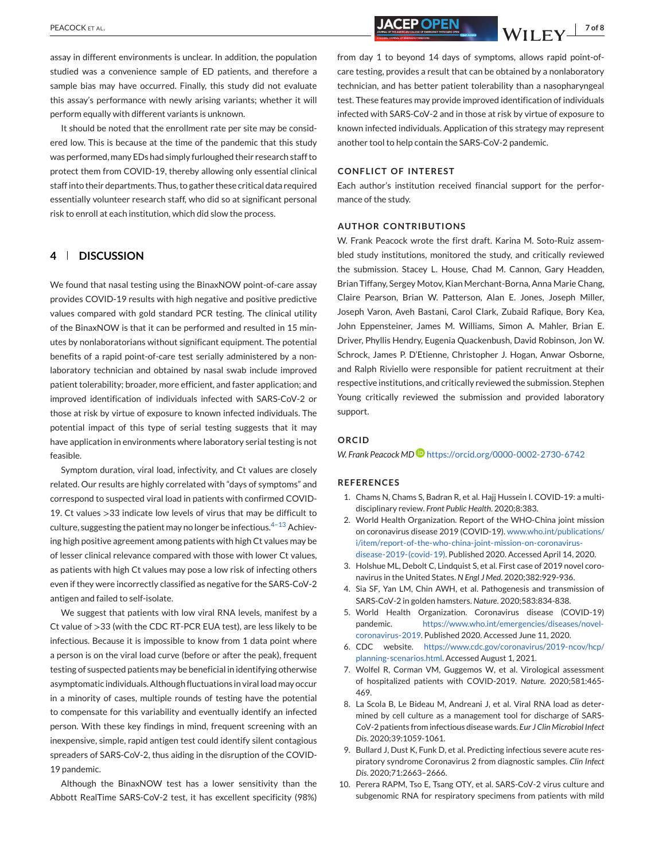assay in different environments is unclear. In addition, the population studied was a convenience sample of ED patients, and therefore a sample bias may have occurred. Finally, this study did not evaluate this assay's performance with newly arising variants; whether it will perform equally with different variants is unknown.

It should be noted that the enrollment rate per site may be considered low. This is because at the time of the pandemic that this study was performed, many EDs had simply furloughed their research staff to protect them from COVID-19, thereby allowing only essential clinical staff into their departments. Thus, to gather these critical data required essentially volunteer research staff, who did so at significant personal risk to enroll at each institution, which did slow the process.

# **4 DISCUSSION**

We found that nasal testing using the BinaxNOW point-of-care assay provides COVID-19 results with high negative and positive predictive values compared with gold standard PCR testing. The clinical utility of the BinaxNOW is that it can be performed and resulted in 15 minutes by nonlaboratorians without significant equipment. The potential benefits of a rapid point-of-care test serially administered by a nonlaboratory technician and obtained by nasal swab include improved patient tolerability; broader, more efficient, and faster application; and improved identification of individuals infected with SARS-CoV-2 or those at risk by virtue of exposure to known infected individuals. The potential impact of this type of serial testing suggests that it may have application in environments where laboratory serial testing is not feasible.

Symptom duration, viral load, infectivity, and Ct values are closely related. Our results are highly correlated with "days of symptoms" and correspond to suspected viral load in patients with confirmed COVID-19. Ct values >33 indicate low levels of virus that may be difficult to culture, suggesting the patient may no longer be infectious. $4-13$  Achieving high positive agreement among patients with high Ct values may be of lesser clinical relevance compared with those with lower Ct values, as patients with high Ct values may pose a low risk of infecting others even if they were incorrectly classified as negative for the SARS-CoV-2 antigen and failed to self-isolate.

We suggest that patients with low viral RNA levels, manifest by a Ct value of >33 (with the CDC RT-PCR EUA test), are less likely to be infectious. Because it is impossible to know from 1 data point where a person is on the viral load curve (before or after the peak), frequent testing of suspected patients may be beneficial in identifying otherwise asymptomatic individuals. Although fluctuations in viral load may occur in a minority of cases, multiple rounds of testing have the potential to compensate for this variability and eventually identify an infected person. With these key findings in mind, frequent screening with an inexpensive, simple, rapid antigen test could identify silent contagious spreaders of SARS-CoV-2, thus aiding in the disruption of the COVID-19 pandemic.

Although the BinaxNOW test has a lower sensitivity than the Abbott RealTime SARS-CoV-2 test, it has excellent specificity (98%)

<span id="page-8-0"></span>PEACOCK ET AL. *PEACOCK ET AL. NACEP OPEN***<sub>14</sub>, <b>***NACEP OPEN***<sub>24</sub>,** *N* **I I EV**<sup><sup>170f8</sup></sup>

from day 1 to beyond 14 days of symptoms, allows rapid point-ofcare testing, provides a result that can be obtained by a nonlaboratory technician, and has better patient tolerability than a nasopharyngeal test. These features may provide improved identification of individuals infected with SARS-CoV-2 and in those at risk by virtue of exposure to known infected individuals. Application of this strategy may represent another tool to help contain the SARS-CoV-2 pandemic.

#### **CONFLICT OF INTEREST**

Each author's institution received financial support for the performance of the study.

#### **AUTHOR CONTRIBUTIONS**

W. Frank Peacock wrote the first draft. Karina M. Soto-Ruiz assembled study institutions, monitored the study, and critically reviewed the submission. Stacey L. House, Chad M. Cannon, Gary Headden, Brian Tiffany, Sergey Motov, Kian Merchant-Borna, Anna Marie Chang, Claire Pearson, Brian W. Patterson, Alan E. Jones, Joseph Miller, Joseph Varon, Aveh Bastani, Carol Clark, Zubaid Rafique, Bory Kea, John Eppensteiner, James M. Williams, Simon A. Mahler, Brian E. Driver, Phyllis Hendry, Eugenia Quackenbush, David Robinson, Jon W. Schrock, James P. D'Etienne, Christopher J. Hogan, Anwar Osborne, and Ralph Riviello were responsible for patient recruitment at their respective institutions, and critically reviewed the submission. Stephen Young critically reviewed the submission and provided laboratory support.

#### **ORCID**

*W. Frank Peacock MD* <https://orcid.org/0000-0002-2730-6742>

#### **REFERENCES**

- 1. Chams N, Chams S, Badran R, et al. Hajj Hussein I. COVID-19: a multidisciplinary review. *Front Public Health*. 2020;8:383.
- 2. World Health Organization. Report of the WHO-China joint mission on coronavirus disease 2019 (COVID-19). [www.who.int/publications/](https://www.who.int/publications/i/item/report-of-the-who-china-joint-mission-on-coronavirus-disease-2019-(covid-19)) [i/item/report-of-the-who-china-joint-mission-on-coronavirus](https://www.who.int/publications/i/item/report-of-the-who-china-joint-mission-on-coronavirus-disease-2019-(covid-19))[disease-2019-\(covid-19\).](https://www.who.int/publications/i/item/report-of-the-who-china-joint-mission-on-coronavirus-disease-2019-(covid-19)) Published 2020. Accessed April 14, 2020.
- 3. Holshue ML, Debolt C, Lindquist S, et al. First case of 2019 novel coronavirus in the United States. *N Engl J Med*. 2020;382:929-936.
- 4. Sia SF, Yan LM, Chin AWH, et al. Pathogenesis and transmission of SARS-CoV-2 in golden hamsters. *Nature*. 2020;583:834-838.
- 5. World Health Organization. Coronavirus disease (COVID-19) pandemic. [https://www.who.int/emergencies/diseases/novel](https://www.who.int/emergencies/diseases/novel-coronavirus-2019)[coronavirus-2019.](https://www.who.int/emergencies/diseases/novel-coronavirus-2019) Published 2020. Accessed June 11, 2020.
- 6. CDC website. [https://www.cdc.gov/coronavirus/2019-ncov/hcp/](https://www.cdc.gov/coronavirus/2019-ncov/hcp/planning-scenarios.html) [planning-scenarios.html.](https://www.cdc.gov/coronavirus/2019-ncov/hcp/planning-scenarios.html) Accessed August 1, 2021.
- 7. Wolfel R, Corman VM, Guggemos W, et al. Virological assessment of hospitalized patients with COVID-2019. *Nature*. 2020;581:465- 469.
- 8. La Scola B, Le Bideau M, Andreani J, et al. Viral RNA load as determined by cell culture as a management tool for discharge of SARS-CoV-2 patients from infectious disease wards. *Eur J Clin Microbiol Infect Dis*. 2020;39:1059-1061.
- 9. Bullard J, Dust K, Funk D, et al. Predicting infectious severe acute respiratory syndrome Coronavirus 2 from diagnostic samples. *Clin Infect Dis*. 2020;71:2663–2666.
- 10. Perera RAPM, Tso E, Tsang OTY, et al. SARS-CoV-2 virus culture and subgenomic RNA for respiratory specimens from patients with mild